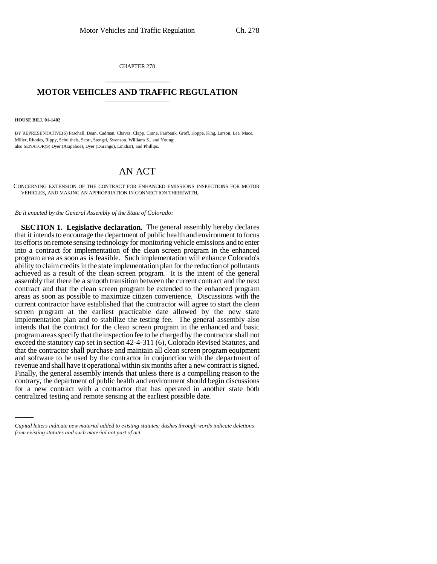CHAPTER 278 \_\_\_\_\_\_\_\_\_\_\_\_\_\_\_

## **MOTOR VEHICLES AND TRAFFIC REGULATION** \_\_\_\_\_\_\_\_\_\_\_\_\_\_\_

## **HOUSE BILL 01-1402**

BY REPRESENTATIVE(S) Paschall, Dean, Cadman, Chavez, Clapp, Crane, Fairbank, Groff, Hoppe, King, Larson, Lee, Mace, Miller, Rhodes, Rippy, Schultheis, Scott, Stengel, Swenson, Williams S., and Young; also SENATOR(S) Dyer (Arapahoe), Dyer (Durango), Linkhart, and Phillips.

## AN ACT

CONCERNING EXTENSION OF THE CONTRACT FOR ENHANCED EMISSIONS INSPECTIONS FOR MOTOR VEHICLES, AND MAKING AN APPROPRIATION IN CONNECTION THEREWITH.

*Be it enacted by the General Assembly of the State of Colorado:*

contrary, the department of public health and environment should begin discussions **SECTION 1. Legislative declaration.** The general assembly hereby declares that it intends to encourage the department of public health and environment to focus its efforts on remote sensing technology for monitoring vehicle emissions and to enter into a contract for implementation of the clean screen program in the enhanced program area as soon as is feasible. Such implementation will enhance Colorado's ability to claim credits in the state implementation plan for the reduction of pollutants achieved as a result of the clean screen program. It is the intent of the general assembly that there be a smooth transition between the current contract and the next contract and that the clean screen program be extended to the enhanced program areas as soon as possible to maximize citizen convenience. Discussions with the current contractor have established that the contractor will agree to start the clean screen program at the earliest practicable date allowed by the new state implementation plan and to stabilize the testing fee. The general assembly also intends that the contract for the clean screen program in the enhanced and basic program areas specify that the inspection fee to be charged by the contractor shall not exceed the statutory cap set in section 42-4-311 (6), Colorado Revised Statutes, and that the contractor shall purchase and maintain all clean screen program equipment and software to be used by the contractor in conjunction with the department of revenue and shall have it operational within six months after a new contract is signed. Finally, the general assembly intends that unless there is a compelling reason to the for a new contract with a contractor that has operated in another state both centralized testing and remote sensing at the earliest possible date.

*Capital letters indicate new material added to existing statutes; dashes through words indicate deletions from existing statutes and such material not part of act.*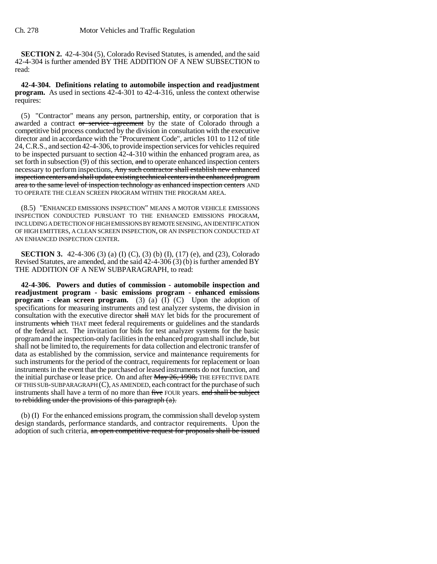**SECTION 2.** 42-4-304 (5), Colorado Revised Statutes, is amended, and the said 42-4-304 is further amended BY THE ADDITION OF A NEW SUBSECTION to read:

**42-4-304. Definitions relating to automobile inspection and readjustment program.** As used in sections 42-4-301 to 42-4-316, unless the context otherwise requires:

(5) "Contractor" means any person, partnership, entity, or corporation that is awarded a contract or service agreement by the state of Colorado through a competitive bid process conducted by the division in consultation with the executive director and in accordance with the "Procurement Code", articles 101 to 112 of title 24, C.R.S., and section 42-4-306, to provide inspection services for vehicles required to be inspected pursuant to section 42-4-310 within the enhanced program area, as set forth in subsection  $(9)$  of this section, and to operate enhanced inspection centers necessary to perform inspections, Any such contractor shall establish new enhanced inspection centers and shall update existing technical centers in the enhanced program area to the same level of inspection technology as enhanced inspection centers AND TO OPERATE THE CLEAN SCREEN PROGRAM WITHIN THE PROGRAM AREA.

(8.5) "ENHANCED EMISSIONS INSPECTION" MEANS A MOTOR VEHICLE EMISSIONS INSPECTION CONDUCTED PURSUANT TO THE ENHANCED EMISSIONS PROGRAM, INCLUDING A DETECTION OF HIGH EMISSIONS BY REMOTE SENSING, AN IDENTIFICATION OF HIGH EMITTERS, A CLEAN SCREEN INSPECTION, OR AN INSPECTION CONDUCTED AT AN ENHANCED INSPECTION CENTER.

**SECTION 3.** 42-4-306 (3) (a) (I) (C), (3) (b) (I), (17) (e), and (23), Colorado Revised Statutes, are amended, and the said 42-4-306 (3) (b) is further amended BY THE ADDITION OF A NEW SUBPARAGRAPH, to read:

**42-4-306. Powers and duties of commission - automobile inspection and readjustment program - basic emissions program - enhanced emissions program - clean screen program.** (3) (a) (I) (C) Upon the adoption of specifications for measuring instruments and test analyzer systems, the division in consultation with the executive director shall MAY let bids for the procurement of instruments which THAT meet federal requirements or guidelines and the standards of the federal act. The invitation for bids for test analyzer systems for the basic program and the inspection-only facilities in the enhanced program shall include, but shall not be limited to, the requirements for data collection and electronic transfer of data as established by the commission, service and maintenance requirements for such instruments for the period of the contract, requirements for replacement or loan instruments in the event that the purchased or leased instruments do not function, and the initial purchase or lease price. On and after May 26, 1998, THE EFFECTIVE DATE OF THIS SUB-SUBPARAGRAPH  $(C)$ , AS AMENDED, each contract for the purchase of such instruments shall have a term of no more than five FOUR years. and shall be subject to rebidding under the provisions of this paragraph (a).

(b) (I) For the enhanced emissions program, the commission shall develop system design standards, performance standards, and contractor requirements. Upon the adoption of such criteria, an open competitive request for proposals shall be issued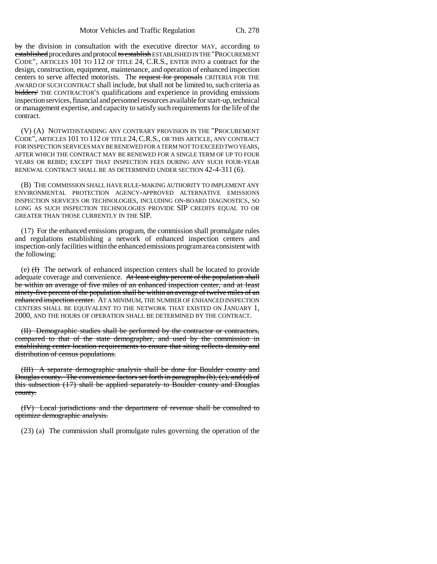by the division in consultation with the executive director MAY, according to established procedures and protocol to establish ESTABLISHED IN THE "PROCUREMENT CODE", ARTICLES 101 TO 112 OF TITLE 24, C.R.S., ENTER INTO a contract for the design, construction, equipment, maintenance, and operation of enhanced inspection centers to serve affected motorists. The request for proposals CRITERIA FOR THE AWARD OF SUCH CONTRACT shall include, but shall not be limited to, such criteria as bidders' THE CONTRACTOR'S qualifications and experience in providing emissions inspection services, financial and personnel resources available for start-up, technical or management expertise, and capacity to satisfy such requirements for the life of the contract.

(V) (A) NOTWITHSTANDING ANY CONTRARY PROVISION IN THE "PROCUREMENT CODE", ARTICLES 101 TO 112 OF TITLE 24, C.R.S., OR THIS ARTICLE, ANY CONTRACT FOR INSPECTION SERVICES MAY BE RENEWED FOR A TERM NOT TO EXCEED TWO YEARS, AFTER WHICH THE CONTRACT MAY BE RENEWED FOR A SINGLE TERM OF UP TO FOUR YEARS OR REBID; EXCEPT THAT INSPECTION FEES DURING ANY SUCH FOUR-YEAR RENEWAL CONTRACT SHALL BE AS DETERMINED UNDER SECTION 42-4-311 (6).

(B) THE COMMISSION SHALL HAVE RULE-MAKING AUTHORITY TO IMPLEMENT ANY ENVIRONMENTAL PROTECTION AGENCY-APPROVED ALTERNATIVE EMISSIONS INSPECTION SERVICES OR TECHNOLOGIES, INCLUDING ON-BOARD DIAGNOSTICS, SO LONG AS SUCH INSPECTION TECHNOLOGIES PROVIDE SIP CREDITS EQUAL TO OR GREATER THAN THOSE CURRENTLY IN THE SIP.

(17) For the enhanced emissions program, the commission shall promulgate rules and regulations establishing a network of enhanced inspection centers and inspection-only facilities within the enhanced emissions program area consistent with the following:

(e)  $(H)$  The network of enhanced inspection centers shall be located to provide adequate coverage and convenience. At least eighty percent of the population shall be within an average of five miles of an enhanced inspection center, and at least ninety-five percent of the population shall be within an average of twelve miles of an enhanced inspection center. AT A MINIMUM, THE NUMBER OF ENHANCED INSPECTION CENTERS SHALL BE EQUIVALENT TO THE NETWORK THAT EXISTED ON JANUARY 1, 2000, AND THE HOURS OF OPERATION SHALL BE DETERMINED BY THE CONTRACT.

(II) Demographic studies shall be performed by the contractor or contractors, compared to that of the state demographer, and used by the commission in establishing center location requirements to ensure that siting reflects density and distribution of census populations.

(III) A separate demographic analysis shall be done for Boulder county and Douglas county. The convenience factors set forth in paragraphs (b), (c), and (d) of this subsection (17) shall be applied separately to Boulder county and Douglas county.

(IV) Local jurisdictions and the department of revenue shall be consulted to optimize demographic analysis.

(23) (a) The commission shall promulgate rules governing the operation of the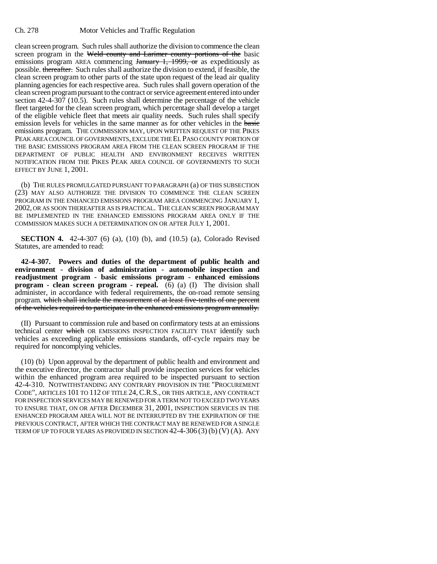clean screen program. Such rules shall authorize the division to commence the clean screen program in the Weld county and Larimer county portions of the basic emissions program AREA commencing January 1, 1999, or as expeditiously as possible. thereafter. Such rules shall authorize the division to extend, if feasible, the clean screen program to other parts of the state upon request of the lead air quality planning agencies for each respective area. Such rules shall govern operation of the clean screen program pursuant to the contract or service agreement entered into under section 42-4-307 (10.5). Such rules shall determine the percentage of the vehicle fleet targeted for the clean screen program, which percentage shall develop a target of the eligible vehicle fleet that meets air quality needs. Such rules shall specify emission levels for vehicles in the same manner as for other vehicles in the basic emissions program. THE COMMISSION MAY, UPON WRITTEN REQUEST OF THE PIKES PEAK AREA COUNCIL OF GOVERNMENTS, EXCLUDE THE EL PASO COUNTY PORTION OF THE BASIC EMISSIONS PROGRAM AREA FROM THE CLEAN SCREEN PROGRAM IF THE DEPARTMENT OF PUBLIC HEALTH AND ENVIRONMENT RECEIVES WRITTEN NOTIFICATION FROM THE PIKES PEAK AREA COUNCIL OF GOVERNMENTS TO SUCH EFFECT BY JUNE 1, 2001.

(b) THE RULES PROMULGATED PURSUANT TO PARAGRAPH (a) OF THIS SUBSECTION (23) MAY ALSO AUTHORIZE THE DIVISION TO COMMENCE THE CLEAN SCREEN PROGRAM IN THE ENHANCED EMISSIONS PROGRAM AREA COMMENCING JANUARY 1, 2002, OR AS SOON THEREAFTER AS IS PRACTICAL. THE CLEAN SCREEN PROGRAM MAY BE IMPLEMENTED IN THE ENHANCED EMISSIONS PROGRAM AREA ONLY IF THE COMMISSION MAKES SUCH A DETERMINATION ON OR AFTER JULY 1, 2001.

**SECTION 4.** 42-4-307 (6) (a), (10) (b), and (10.5) (a), Colorado Revised Statutes, are amended to read:

**42-4-307. Powers and duties of the department of public health and environment - division of administration - automobile inspection and readjustment program - basic emissions program - enhanced emissions program - clean screen program - repeal.** (6) (a) (I) The division shall administer, in accordance with federal requirements, the on-road remote sensing program. which shall include the measurement of at least five-tenths of one percent of the vehicles required to participate in the enhanced emissions program annually.

(II) Pursuant to commission rule and based on confirmatory tests at an emissions technical center which OR EMISSIONS INSPECTION FACILITY THAT identify such vehicles as exceeding applicable emissions standards, off-cycle repairs may be required for noncomplying vehicles.

(10) (b) Upon approval by the department of public health and environment and the executive director, the contractor shall provide inspection services for vehicles within the enhanced program area required to be inspected pursuant to section 42-4-310. NOTWITHSTANDING ANY CONTRARY PROVISION IN THE "PROCUREMENT CODE", ARTICLES 101 TO 112 OF TITLE 24,C.R.S., OR THIS ARTICLE, ANY CONTRACT FOR INSPECTION SERVICES MAY BE RENEWED FOR A TERM NOT TO EXCEED TWO YEARS TO ENSURE THAT, ON OR AFTER DECEMBER 31, 2001, INSPECTION SERVICES IN THE ENHANCED PROGRAM AREA WILL NOT BE INTERRUPTED BY THE EXPIRATION OF THE PREVIOUS CONTRACT, AFTER WHICH THE CONTRACT MAY BE RENEWED FOR A SINGLE TERM OF UP TO FOUR YEARS AS PROVIDED IN SECTION 42-4-306 (3) (b) (V) (A). ANY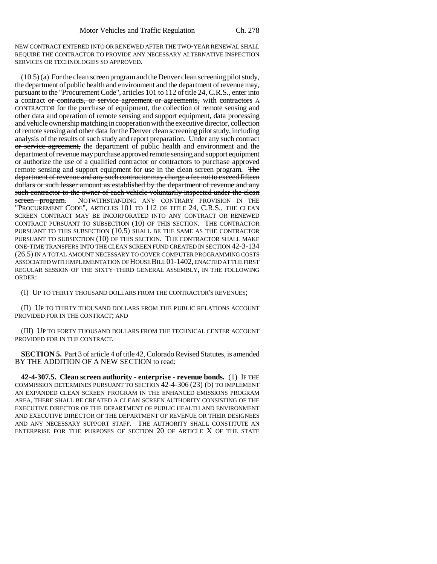NEW CONTRACT ENTERED INTO OR RENEWED AFTER THE TWO-YEAR RENEWAL SHALL REQUIRE THE CONTRACTOR TO PROVIDE ANY NECESSARY ALTERNATIVE INSPECTION SERVICES OR TECHNOLOGIES SO APPROVED.

(10.5) (a) For the clean screen program and the Denver clean screening pilot study, the department of public health and environment and the department of revenue may, pursuant to the "Procurement Code", articles 101 to 112 of title 24, C.R.S., enter into a contract or contracts, or service agreement or agreements, with contractors A CONTRACTOR for the purchase of equipment, the collection of remote sensing and other data and operation of remote sensing and support equipment, data processing and vehicle ownership matching in cooperation with the executive director, collection of remote sensing and other data for the Denver clean screening pilot study, including analysis of the results of such study and report preparation. Under any such contract or service agreement, the department of public health and environment and the department of revenue may purchase approved remote sensing and support equipment or authorize the use of a qualified contractor or contractors to purchase approved remote sensing and support equipment for use in the clean screen program. The department of revenue and any such contractor may charge a fee not to exceed fifteen dollars or such lesser amount as established by the department of revenue and any such contractor to the owner of each vehicle voluntarily inspected under the clean<br>sereen program. NOTWITHSTANDING ANY CONTRARY PROVISION IN THE NOTWITHSTANDING ANY CONTRARY PROVISION IN THE "PROCUREMENT CODE", ARTICLES 101 TO 112 OF TITLE 24, C.R.S., THE CLEAN SCREEN CONTRACT MAY BE INCORPORATED INTO ANY CONTRACT OR RENEWED CONTRACT PURSUANT TO SUBSECTION (10) OF THIS SECTION. THE CONTRACTOR PURSUANT TO THIS SUBSECTION (10.5) SHALL BE THE SAME AS THE CONTRACTOR PURSUANT TO SUBSECTION (10) OF THIS SECTION. THE CONTRACTOR SHALL MAKE ONE-TIME TRANSFERS INTO THE CLEAN SCREEN FUND CREATED IN SECTION 42-3-134 (26.5) IN A TOTAL AMOUNT NECESSARY TO COVER COMPUTER PROGRAMMING COSTS ASSOCIATED WITH IMPLEMENTATION OF HOUSE BILL 01-1402, ENACTED AT THE FIRST REGULAR SESSION OF THE SIXTY-THIRD GENERAL ASSEMBLY, IN THE FOLLOWING ORDER:

(I) UP TO THIRTY THOUSAND DOLLARS FROM THE CONTRACTOR'S REVENUES;

(II) UP TO THIRTY THOUSAND DOLLARS FROM THE PUBLIC RELATIONS ACCOUNT PROVIDED FOR IN THE CONTRACT; AND

(III) UP TO FORTY THOUSAND DOLLARS FROM THE TECHNICAL CENTER ACCOUNT PROVIDED FOR IN THE CONTRACT.

**SECTION 5.** Part 3 of article 4 of title 42, Colorado Revised Statutes, is amended BY THE ADDITION OF A NEW SECTION to read:

**42-4-307.5. Clean screen authority - enterprise - revenue bonds.** (1) IF THE COMMISSION DETERMINES PURSUANT TO SECTION 42-4-306 (23) (b) TO IMPLEMENT AN EXPANDED CLEAN SCREEN PROGRAM IN THE ENHANCED EMISSIONS PROGRAM AREA, THERE SHALL BE CREATED A CLEAN SCREEN AUTHORITY CONSISTING OF THE EXECUTIVE DIRECTOR OF THE DEPARTMENT OF PUBLIC HEALTH AND ENVIRONMENT AND EXECUTIVE DIRECTOR OF THE DEPARTMENT OF REVENUE OR THEIR DESIGNEES AND ANY NECESSARY SUPPORT STAFF. THE AUTHORITY SHALL CONSTITUTE AN ENTERPRISE FOR THE PURPOSES OF SECTION 20 OF ARTICLE X OF THE STATE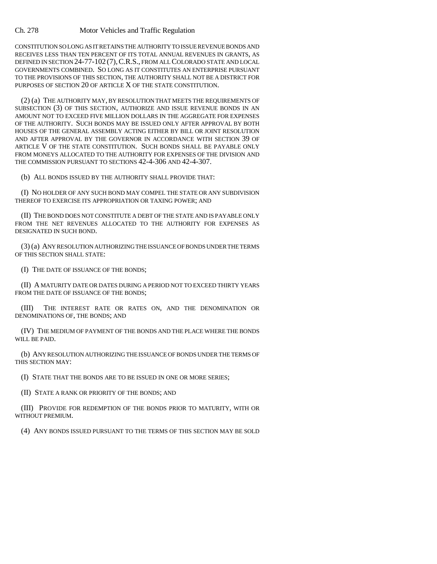CONSTITUTION SO LONG AS IT RETAINS THE AUTHORITY TO ISSUE REVENUE BONDS AND RECEIVES LESS THAN TEN PERCENT OF ITS TOTAL ANNUAL REVENUES IN GRANTS, AS DEFINED IN SECTION 24-77-102 (7),C.R.S., FROM ALL COLORADO STATE AND LOCAL GOVERNMENTS COMBINED. SO LONG AS IT CONSTITUTES AN ENTERPRISE PURSUANT TO THE PROVISIONS OF THIS SECTION, THE AUTHORITY SHALL NOT BE A DISTRICT FOR PURPOSES OF SECTION 20 OF ARTICLE X OF THE STATE CONSTITUTION.

(2) (a) THE AUTHORITY MAY, BY RESOLUTION THAT MEETS THE REQUIREMENTS OF SUBSECTION (3) OF THIS SECTION, AUTHORIZE AND ISSUE REVENUE BONDS IN AN AMOUNT NOT TO EXCEED FIVE MILLION DOLLARS IN THE AGGREGATE FOR EXPENSES OF THE AUTHORITY. SUCH BONDS MAY BE ISSUED ONLY AFTER APPROVAL BY BOTH HOUSES OF THE GENERAL ASSEMBLY ACTING EITHER BY BILL OR JOINT RESOLUTION AND AFTER APPROVAL BY THE GOVERNOR IN ACCORDANCE WITH SECTION 39 OF ARTICLE V OF THE STATE CONSTITUTION. SUCH BONDS SHALL BE PAYABLE ONLY FROM MONEYS ALLOCATED TO THE AUTHORITY FOR EXPENSES OF THE DIVISION AND THE COMMISSION PURSUANT TO SECTIONS 42-4-306 AND 42-4-307.

(b) ALL BONDS ISSUED BY THE AUTHORITY SHALL PROVIDE THAT:

(I) NO HOLDER OF ANY SUCH BOND MAY COMPEL THE STATE OR ANY SUBDIVISION THEREOF TO EXERCISE ITS APPROPRIATION OR TAXING POWER; AND

(II) THE BOND DOES NOT CONSTITUTE A DEBT OF THE STATE AND IS PAYABLE ONLY FROM THE NET REVENUES ALLOCATED TO THE AUTHORITY FOR EXPENSES AS DESIGNATED IN SUCH BOND.

(3) (a) ANY RESOLUTION AUTHORIZING THE ISSUANCE OF BONDS UNDER THE TERMS OF THIS SECTION SHALL STATE:

(I) THE DATE OF ISSUANCE OF THE BONDS;

(II) A MATURITY DATE OR DATES DURING A PERIOD NOT TO EXCEED THIRTY YEARS FROM THE DATE OF ISSUANCE OF THE BONDS;

(III) THE INTEREST RATE OR RATES ON, AND THE DENOMINATION OR DENOMINATIONS OF, THE BONDS; AND

(IV) THE MEDIUM OF PAYMENT OF THE BONDS AND THE PLACE WHERE THE BONDS WILL BE PAID.

(b) ANY RESOLUTION AUTHORIZING THE ISSUANCE OF BONDS UNDER THE TERMS OF THIS SECTION MAY:

(I) STATE THAT THE BONDS ARE TO BE ISSUED IN ONE OR MORE SERIES;

(II) STATE A RANK OR PRIORITY OF THE BONDS; AND

(III) PROVIDE FOR REDEMPTION OF THE BONDS PRIOR TO MATURITY, WITH OR WITHOUT PREMIUM.

(4) ANY BONDS ISSUED PURSUANT TO THE TERMS OF THIS SECTION MAY BE SOLD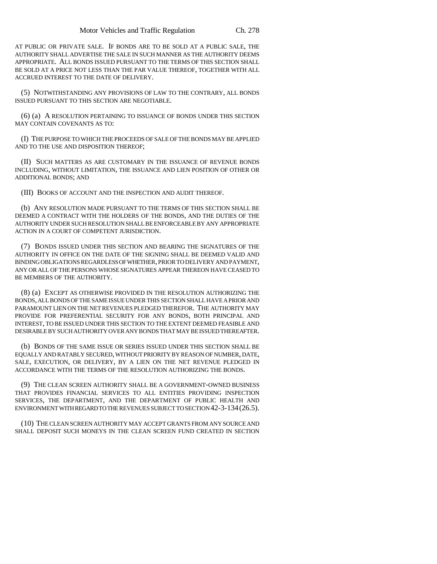AT PUBLIC OR PRIVATE SALE. IF BONDS ARE TO BE SOLD AT A PUBLIC SALE, THE AUTHORITY SHALL ADVERTISE THE SALE IN SUCH MANNER AS THE AUTHORITY DEEMS APPROPRIATE. ALL BONDS ISSUED PURSUANT TO THE TERMS OF THIS SECTION SHALL BE SOLD AT A PRICE NOT LESS THAN THE PAR VALUE THEREOF, TOGETHER WITH ALL ACCRUED INTEREST TO THE DATE OF DELIVERY.

(5) NOTWITHSTANDING ANY PROVISIONS OF LAW TO THE CONTRARY, ALL BONDS ISSUED PURSUANT TO THIS SECTION ARE NEGOTIABLE.

(6) (a) A RESOLUTION PERTAINING TO ISSUANCE OF BONDS UNDER THIS SECTION MAY CONTAIN COVENANTS AS TO:

(I) THE PURPOSE TO WHICH THE PROCEEDS OF SALE OF THE BONDS MAY BE APPLIED AND TO THE USE AND DISPOSITION THEREOF;

(II) SUCH MATTERS AS ARE CUSTOMARY IN THE ISSUANCE OF REVENUE BONDS INCLUDING, WITHOUT LIMITATION, THE ISSUANCE AND LIEN POSITION OF OTHER OR ADDITIONAL BONDS; AND

(III) BOOKS OF ACCOUNT AND THE INSPECTION AND AUDIT THEREOF.

(b) ANY RESOLUTION MADE PURSUANT TO THE TERMS OF THIS SECTION SHALL BE DEEMED A CONTRACT WITH THE HOLDERS OF THE BONDS, AND THE DUTIES OF THE AUTHORITY UNDER SUCH RESOLUTION SHALL BE ENFORCEABLE BY ANY APPROPRIATE ACTION IN A COURT OF COMPETENT JURISDICTION.

(7) BONDS ISSUED UNDER THIS SECTION AND BEARING THE SIGNATURES OF THE AUTHORITY IN OFFICE ON THE DATE OF THE SIGNING SHALL BE DEEMED VALID AND BINDING OBLIGATIONS REGARDLESS OF WHETHER, PRIOR TO DELIVERY AND PAYMENT, ANY OR ALL OF THE PERSONS WHOSE SIGNATURES APPEAR THEREON HAVE CEASED TO BE MEMBERS OF THE AUTHORITY.

(8) (a) EXCEPT AS OTHERWISE PROVIDED IN THE RESOLUTION AUTHORIZING THE BONDS, ALL BONDS OF THE SAME ISSUE UNDER THIS SECTION SHALL HAVE A PRIOR AND PARAMOUNT LIEN ON THE NET REVENUES PLEDGED THEREFOR. THE AUTHORITY MAY PROVIDE FOR PREFERENTIAL SECURITY FOR ANY BONDS, BOTH PRINCIPAL AND INTEREST, TO BE ISSUED UNDER THIS SECTION TO THE EXTENT DEEMED FEASIBLE AND DESIRABLE BY SUCH AUTHORITY OVER ANY BONDS THAT MAY BE ISSUED THEREAFTER.

(b) BONDS OF THE SAME ISSUE OR SERIES ISSUED UNDER THIS SECTION SHALL BE EQUALLY AND RATABLY SECURED, WITHOUT PRIORITY BY REASON OF NUMBER, DATE, SALE, EXECUTION, OR DELIVERY, BY A LIEN ON THE NET REVENUE PLEDGED IN ACCORDANCE WITH THE TERMS OF THE RESOLUTION AUTHORIZING THE BONDS.

(9) THE CLEAN SCREEN AUTHORITY SHALL BE A GOVERNMENT-OWNED BUSINESS THAT PROVIDES FINANCIAL SERVICES TO ALL ENTITIES PROVIDING INSPECTION SERVICES, THE DEPARTMENT, AND THE DEPARTMENT OF PUBLIC HEALTH AND ENVIRONMENT WITH REGARD TO THE REVENUES SUBJECT TO SECTION 42-3-134(26.5).

(10) THE CLEAN SCREEN AUTHORITY MAY ACCEPT GRANTS FROM ANY SOURCE AND SHALL DEPOSIT SUCH MONEYS IN THE CLEAN SCREEN FUND CREATED IN SECTION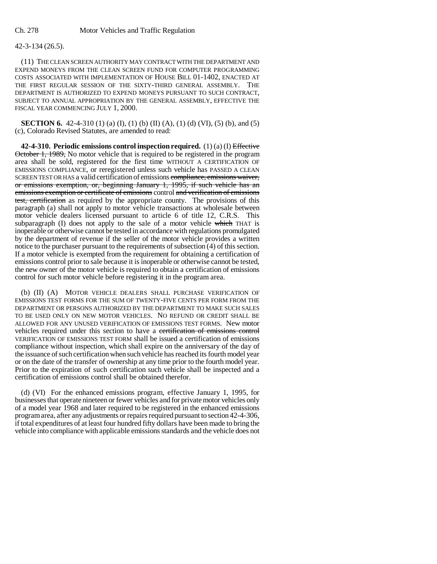## 42-3-134 (26.5).

(11) THE CLEAN SCREEN AUTHORITY MAY CONTRACT WITH THE DEPARTMENT AND EXPEND MONEYS FROM THE CLEAN SCREEN FUND FOR COMPUTER PROGRAMMING COSTS ASSOCIATED WITH IMPLEMENTATION OF HOUSE BILL 01-1402, ENACTED AT THE FIRST REGULAR SESSION OF THE SIXTY-THIRD GENERAL ASSEMBLY. THE DEPARTMENT IS AUTHORIZED TO EXPEND MONEYS PURSUANT TO SUCH CONTRACT, SUBJECT TO ANNUAL APPROPRIATION BY THE GENERAL ASSEMBLY, EFFECTIVE THE FISCAL YEAR COMMENCING JULY 1, 2000.

**SECTION 6.** 42-4-310 (1) (a) (I), (1) (b) (II) (A), (1) (d) (VI), (5) (b), and (5) (c), Colorado Revised Statutes, are amended to read:

**42-4-310. Periodic emissions control inspection required.** (1) (a) (I) Effective October 1, 1989, No motor vehicle that is required to be registered in the program area shall be sold, registered for the first time WITHOUT A CERTIFICATION OF EMISSIONS COMPLIANCE, or reregistered unless such vehicle has PASSED A CLEAN SCREEN TEST OR HAS a valid certification of emissions compliance, emissions waiver, or emissions exemption, or, beginning January 1, 1995, if such vehicle has an emissions exemption or certificate of emissions control and verification of emissions test, certification as required by the appropriate county. The provisions of this paragraph (a) shall not apply to motor vehicle transactions at wholesale between motor vehicle dealers licensed pursuant to article 6 of title 12, C.R.S. This subparagraph (I) does not apply to the sale of a motor vehicle which THAT is inoperable or otherwise cannot be tested in accordance with regulations promulgated by the department of revenue if the seller of the motor vehicle provides a written notice to the purchaser pursuant to the requirements of subsection (4) of this section. If a motor vehicle is exempted from the requirement for obtaining a certification of emissions control prior to sale because it is inoperable or otherwise cannot be tested, the new owner of the motor vehicle is required to obtain a certification of emissions control for such motor vehicle before registering it in the program area.

(b) (II) (A) MOTOR VEHICLE DEALERS SHALL PURCHASE VERIFICATION OF EMISSIONS TEST FORMS FOR THE SUM OF TWENTY-FIVE CENTS PER FORM FROM THE DEPARTMENT OR PERSONS AUTHORIZED BY THE DEPARTMENT TO MAKE SUCH SALES TO BE USED ONLY ON NEW MOTOR VEHICLES. NO REFUND OR CREDIT SHALL BE ALLOWED FOR ANY UNUSED VERIFICATION OF EMISSIONS TEST FORMS. New motor vehicles required under this section to have a certification of emissions control VERIFICATION OF EMISSIONS TEST FORM shall be issued a certification of emissions compliance without inspection, which shall expire on the anniversary of the day of the issuance of such certification when such vehicle has reached its fourth model year or on the date of the transfer of ownership at any time prior to the fourth model year. Prior to the expiration of such certification such vehicle shall be inspected and a certification of emissions control shall be obtained therefor.

(d) (VI) For the enhanced emissions program, effective January 1, 1995, for businesses that operate nineteen or fewer vehicles and for private motor vehicles only of a model year 1968 and later required to be registered in the enhanced emissions program area, after any adjustments or repairs required pursuant to section 42-4-306, if total expenditures of at least four hundred fifty dollars have been made to bring the vehicle into compliance with applicable emissions standards and the vehicle does not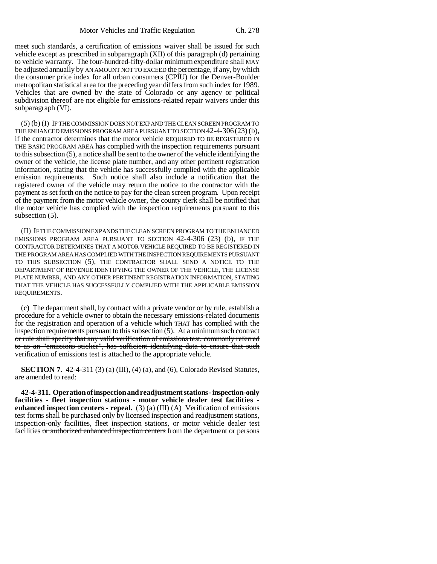meet such standards, a certification of emissions waiver shall be issued for such vehicle except as prescribed in subparagraph (XII) of this paragraph (d) pertaining to vehicle warranty. The four-hundred-fifty-dollar minimum expenditure shall MAY be adjusted annually by AN AMOUNT NOT TO EXCEED the percentage, if any, by which the consumer price index for all urban consumers (CPIU) for the Denver-Boulder metropolitan statistical area for the preceding year differs from such index for 1989. Vehicles that are owned by the state of Colorado or any agency or political subdivision thereof are not eligible for emissions-related repair waivers under this subparagraph (VI).

(5) (b) (I) IF THE COMMISSION DOES NOT EXPAND THE CLEAN SCREEN PROGRAM TO THE ENHANCED EMISSIONS PROGRAM AREA PURSUANT TO SECTION 42-4-306(23) (b), if the contractor determines that the motor vehicle REQUIRED TO BE REGISTERED IN THE BASIC PROGRAM AREA has complied with the inspection requirements pursuant to this subsection (5), a notice shall be sent to the owner of the vehicle identifying the owner of the vehicle, the license plate number, and any other pertinent registration information, stating that the vehicle has successfully complied with the applicable emission requirements. Such notice shall also include a notification that the registered owner of the vehicle may return the notice to the contractor with the payment as set forth on the notice to pay for the clean screen program. Upon receipt of the payment from the motor vehicle owner, the county clerk shall be notified that the motor vehicle has complied with the inspection requirements pursuant to this subsection (5).

(II) IF THE COMMISSION EXPANDS THE CLEAN SCREEN PROGRAM TO THE ENHANCED EMISSIONS PROGRAM AREA PURSUANT TO SECTION 42-4-306 (23) (b), IF THE CONTRACTOR DETERMINES THAT A MOTOR VEHICLE REQUIRED TO BE REGISTERED IN THE PROGRAM AREA HAS COMPLIED WITH THE INSPECTION REQUIREMENTS PURSUANT TO THIS SUBSECTION (5), THE CONTRACTOR SHALL SEND A NOTICE TO THE DEPARTMENT OF REVENUE IDENTIFYING THE OWNER OF THE VEHICLE, THE LICENSE PLATE NUMBER, AND ANY OTHER PERTINENT REGISTRATION INFORMATION, STATING THAT THE VEHICLE HAS SUCCESSFULLY COMPLIED WITH THE APPLICABLE EMISSION REQUIREMENTS.

(c) The department shall, by contract with a private vendor or by rule, establish a procedure for a vehicle owner to obtain the necessary emissions-related documents for the registration and operation of a vehicle which THAT has complied with the inspection requirements pursuant to this subsection (5). At a minimum such contract or rule shall specify that any valid verification of emissions test, commonly referred to as an "emissions sticker", has sufficient identifying data to ensure that such verification of emissions test is attached to the appropriate vehicle.

**SECTION 7.** 42-4-311 (3) (a) (III), (4) (a), and (6), Colorado Revised Statutes, are amended to read:

**42-4-311. Operation of inspection and readjustment stations - inspection-only facilities - fleet inspection stations - motor vehicle dealer test facilities enhanced inspection centers - repeal.** (3) (a) (III) (A) Verification of emissions test forms shall be purchased only by licensed inspection and readjustment stations, inspection-only facilities, fleet inspection stations, or motor vehicle dealer test facilities or authorized enhanced inspection centers from the department or persons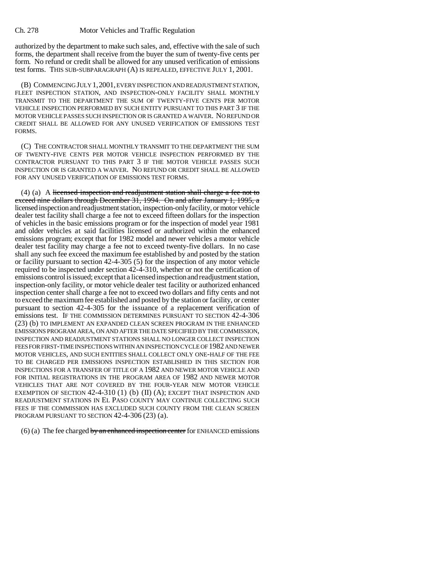authorized by the department to make such sales, and, effective with the sale of such forms, the department shall receive from the buyer the sum of twenty-five cents per form. No refund or credit shall be allowed for any unused verification of emissions test forms. THIS SUB-SUBPARAGRAPH (A) IS REPEALED, EFFECTIVE JULY 1, 2001.

(B) COMMENCING JULY 1,2001, EVERY INSPECTION AND READJUSTMENT STATION, FLEET INSPECTION STATION, AND INSPECTION-ONLY FACILITY SHALL MONTHLY TRANSMIT TO THE DEPARTMENT THE SUM OF TWENTY-FIVE CENTS PER MOTOR VEHICLE INSPECTION PERFORMED BY SUCH ENTITY PURSUANT TO THIS PART 3 IF THE MOTOR VEHICLE PASSES SUCH INSPECTION OR IS GRANTED A WAIVER. NO REFUND OR CREDIT SHALL BE ALLOWED FOR ANY UNUSED VERIFICATION OF EMISSIONS TEST FORMS.

(C) THE CONTRACTOR SHALL MONTHLY TRANSMIT TO THE DEPARTMENT THE SUM OF TWENTY-FIVE CENTS PER MOTOR VEHICLE INSPECTION PERFORMED BY THE CONTRACTOR PURSUANT TO THIS PART 3 IF THE MOTOR VEHICLE PASSES SUCH INSPECTION OR IS GRANTED A WAIVER. NO REFUND OR CREDIT SHALL BE ALLOWED FOR ANY UNUSED VERIFICATION OF EMISSIONS TEST FORMS.

(4) (a) A licensed inspection and readjustment station shall charge a fee not to exceed nine dollars through December 31, 1994. On and after January 1, 1995, a licensed inspection and readjustment station, inspection-only facility, or motor vehicle dealer test facility shall charge a fee not to exceed fifteen dollars for the inspection of vehicles in the basic emissions program or for the inspection of model year 1981 and older vehicles at said facilities licensed or authorized within the enhanced emissions program; except that for 1982 model and newer vehicles a motor vehicle dealer test facility may charge a fee not to exceed twenty-five dollars. In no case shall any such fee exceed the maximum fee established by and posted by the station or facility pursuant to section 42-4-305 (5) for the inspection of any motor vehicle required to be inspected under section 42-4-310, whether or not the certification of emissions control is issued; except that a licensed inspection and readjustment station, inspection-only facility, or motor vehicle dealer test facility or authorized enhanced inspection center shall charge a fee not to exceed two dollars and fifty cents and not to exceed the maximum fee established and posted by the station or facility, or center pursuant to section 42-4-305 for the issuance of a replacement verification of emissions test. IF THE COMMISSION DETERMINES PURSUANT TO SECTION 42-4-306 (23) (b) TO IMPLEMENT AN EXPANDED CLEAN SCREEN PROGRAM IN THE ENHANCED EMISSIONS PROGRAM AREA, ON AND AFTER THE DATE SPECIFIED BY THE COMMISSION, INSPECTION AND READJUSTMENT STATIONS SHALL NO LONGER COLLECT INSPECTION FEES FOR FIRST-TIME INSPECTIONS WITHIN AN INSPECTION CYCLE OF 1982 AND NEWER MOTOR VEHICLES, AND SUCH ENTITIES SHALL COLLECT ONLY ONE-HALF OF THE FEE TO BE CHARGED PER EMISSIONS INSPECTION ESTABLISHED IN THIS SECTION FOR INSPECTIONS FOR A TRANSFER OF TITLE OF A 1982 AND NEWER MOTOR VEHICLE AND FOR INITIAL REGISTRATIONS IN THE PROGRAM AREA OF 1982 AND NEWER MOTOR VEHICLES THAT ARE NOT COVERED BY THE FOUR-YEAR NEW MOTOR VEHICLE EXEMPTION OF SECTION  $42-4-310(1)$  (b) (II) (A); EXCEPT THAT INSPECTION AND READJUSTMENT STATIONS IN EL PASO COUNTY MAY CONTINUE COLLECTING SUCH FEES IF THE COMMISSION HAS EXCLUDED SUCH COUNTY FROM THE CLEAN SCREEN PROGRAM PURSUANT TO SECTION 42-4-306 (23) (a).

 $(6)$  (a) The fee charged by an enhanced inspection center for ENHANCED emissions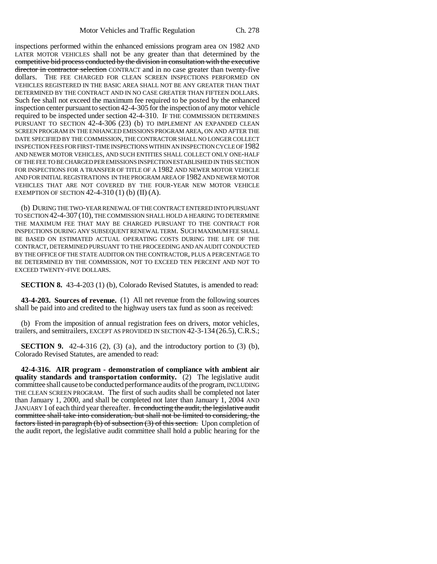inspections performed within the enhanced emissions program area ON 1982 AND LATER MOTOR VEHICLES shall not be any greater than that determined by the competitive bid process conducted by the division in consultation with the executive director in contractor selection CONTRACT and in no case greater than twenty-five dollars. THE FEE CHARGED FOR CLEAN SCREEN INSPECTIONS PERFORMED ON VEHICLES REGISTERED IN THE BASIC AREA SHALL NOT BE ANY GREATER THAN THAT DETERMINED BY THE CONTRACT AND IN NO CASE GREATER THAN FIFTEEN DOLLARS. Such fee shall not exceed the maximum fee required to be posted by the enhanced inspection center pursuant to section 42-4-305 for the inspection of any motor vehicle required to be inspected under section 42-4-310. IF THE COMMISSION DETERMINES PURSUANT TO SECTION 42-4-306 (23) (b) TO IMPLEMENT AN EXPANDED CLEAN SCREEN PROGRAM IN THE ENHANCED EMISSIONS PROGRAM AREA, ON AND AFTER THE DATE SPECIFIED BY THE COMMISSION, THE CONTRACTOR SHALL NO LONGER COLLECT INSPECTION FEES FOR FIRST-TIME INSPECTIONS WITHIN AN INSPECTION CYCLE OF 1982 AND NEWER MOTOR VEHICLES, AND SUCH ENTITIES SHALL COLLECT ONLY ONE-HALF OF THE FEE TO BE CHARGED PER EMISSIONS INSPECTION ESTABLISHED IN THIS SECTION FOR INSPECTIONS FOR A TRANSFER OF TITLE OF A 1982 AND NEWER MOTOR VEHICLE AND FOR INITIAL REGISTRATIONS IN THE PROGRAM AREA OF 1982 AND NEWER MOTOR VEHICLES THAT ARE NOT COVERED BY THE FOUR-YEAR NEW MOTOR VEHICLE EXEMPTION OF SECTION  $42-4-310(1)$  (b) (II) (A).

(b) DURING THE TWO-YEAR RENEWAL OF THE CONTRACT ENTERED INTO PURSUANT TO SECTION 42-4-307 (10), THE COMMISSION SHALL HOLD A HEARING TO DETERMINE THE MAXIMUM FEE THAT MAY BE CHARGED PURSUANT TO THE CONTRACT FOR INSPECTIONS DURING ANY SUBSEQUENT RENEWAL TERM. SUCH MAXIMUM FEE SHALL BE BASED ON ESTIMATED ACTUAL OPERATING COSTS DURING THE LIFE OF THE CONTRACT, DETERMINED PURSUANT TO THE PROCEEDING AND AN AUDIT CONDUCTED BY THE OFFICE OF THE STATE AUDITOR ON THE CONTRACTOR, PLUS A PERCENTAGE TO BE DETERMINED BY THE COMMISSION, NOT TO EXCEED TEN PERCENT AND NOT TO EXCEED TWENTY-FIVE DOLLARS.

**SECTION 8.** 43-4-203 (1) (b), Colorado Revised Statutes, is amended to read:

**43-4-203. Sources of revenue.** (1) All net revenue from the following sources shall be paid into and credited to the highway users tax fund as soon as received:

(b) From the imposition of annual registration fees on drivers, motor vehicles, trailers, and semitrailers, EXCEPT AS PROVIDED IN SECTION 42-3-134 (26.5), C.R.S.;

**SECTION 9.** 42-4-316 (2), (3) (a), and the introductory portion to (3) (b), Colorado Revised Statutes, are amended to read:

**42-4-316. AIR program - demonstration of compliance with ambient air quality standards and transportation conformity.** (2) The legislative audit committee shall cause to be conducted performance audits of the program, INCLUDING THE CLEAN SCREEN PROGRAM. The first of such audits shall be completed not later than January 1, 2000, and shall be completed not later than January 1, 2004 AND JANUARY 1 of each third year thereafter. In conducting the audit, the legislative audit committee shall take into consideration, but shall not be limited to considering, the factors listed in paragraph (b) of subsection (3) of this section. Upon completion of the audit report, the legislative audit committee shall hold a public hearing for the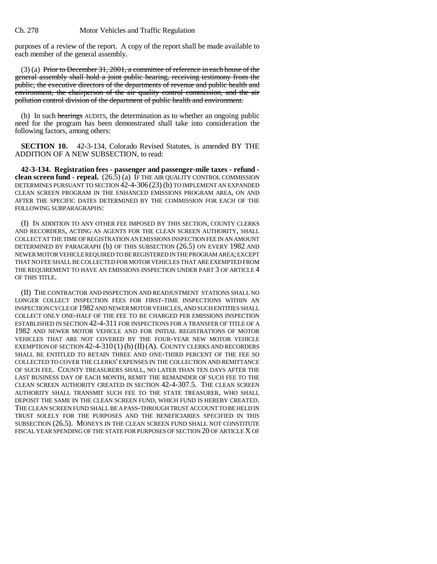purposes of a review of the report. A copy of the report shall be made available to each member of the general assembly.

(3) (a) Prior to December 31, 2001, a committee of reference in each house of the general assembly shall hold a joint public hearing, receiving testimony from the public, the executive directors of the departments of revenue and public health and environment, the chairperson of the air quality control commission, and the air pollution control division of the department of public health and environment.

(b) In such hearings AUDITS, the determination as to whether an ongoing public need for the program has been demonstrated shall take into consideration the following factors, among others:

**SECTION 10.** 42-3-134, Colorado Revised Statutes, is amended BY THE ADDITION OF A NEW SUBSECTION, to read:

**42-3-134. Registration fees - passenger and passenger-mile taxes - refund clean screen fund - repeal.** (26.5) (a) IF THE AIR QUALITY CONTROL COMMISSION DETERMINES PURSUANT TO SECTION 42-4-306 (23) (b) TO IMPLEMENT AN EXPANDED CLEAN SCREEN PROGRAM IN THE ENHANCED EMISSIONS PROGRAM AREA, ON AND AFTER THE SPECIFIC DATES DETERMINED BY THE COMMISSION FOR EACH OF THE FOLLOWING SUBPARAGRAPHS:

(I) IN ADDITION TO ANY OTHER FEE IMPOSED BY THIS SECTION, COUNTY CLERKS AND RECORDERS, ACTING AS AGENTS FOR THE CLEAN SCREEN AUTHORITY, SHALL COLLECT AT THE TIME OF REGISTRATION AN EMISSIONS INSPECTION FEE IN AN AMOUNT DETERMINED BY PARAGRAPH (b) OF THIS SUBSECTION (26.5) ON EVERY 1982 AND NEWER MOTOR VEHICLE REQUIRED TO BE REGISTERED IN THE PROGRAM AREA; EXCEPT THAT NO FEE SHALL BE COLLECTED FOR MOTOR VEHICLES THAT ARE EXEMPTED FROM THE REQUIREMENT TO HAVE AN EMISSIONS INSPECTION UNDER PART 3 OF ARTICLE 4 OF THIS TITLE.

(II) THE CONTRACTOR AND INSPECTION AND READJUSTMENT STATIONS SHALL NO LONGER COLLECT INSPECTION FEES FOR FIRST-TIME INSPECTIONS WITHIN AN INSPECTION CYCLE OF 1982 AND NEWER MOTOR VEHICLES, AND SUCH ENTITIES SHALL COLLECT ONLY ONE-HALF OF THE FEE TO BE CHARGED PER EMISSIONS INSPECTION ESTABLISHED IN SECTION 42-4-311 FOR INSPECTIONS FOR A TRANSFER OF TITLE OF A 1982 AND NEWER MOTOR VEHICLE AND FOR INITIAL REGISTRATIONS OF MOTOR VEHICLES THAT ARE NOT COVERED BY THE FOUR-YEAR NEW MOTOR VEHICLE EXEMPTION OF SECTION  $42-4-310(1)$  (b) (II) (A). COUNTY CLERKS AND RECORDERS SHALL BE ENTITLED TO RETAIN THREE AND ONE-THIRD PERCENT OF THE FEE SO COLLECTED TO COVER THE CLERKS' EXPENSES IN THE COLLECTION AND REMITTANCE OF SUCH FEE. COUNTY TREASURERS SHALL, NO LATER THAN TEN DAYS AFTER THE LAST BUSINESS DAY OF EACH MONTH, REMIT THE REMAINDER OF SUCH FEE TO THE CLEAN SCREEN AUTHORITY CREATED IN SECTION 42-4-307.5. THE CLEAN SCREEN AUTHORITY SHALL TRANSMIT SUCH FEE TO THE STATE TREASURER, WHO SHALL DEPOSIT THE SAME IN THE CLEAN SCREEN FUND, WHICH FUND IS HEREBY CREATED. THE CLEAN SCREEN FUND SHALL BE A PASS-THROUGH TRUST ACCOUNT TO BE HELD IN TRUST SOLELY FOR THE PURPOSES AND THE BENEFICIARIES SPECIFIED IN THIS SUBSECTION (26.5). MONEYS IN THE CLEAN SCREEN FUND SHALL NOT CONSTITUTE FISCAL YEAR SPENDING OF THE STATE FOR PURPOSES OF SECTION 20 OF ARTICLE X OF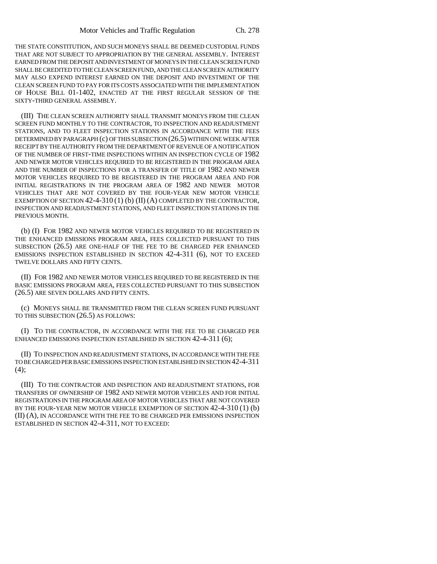THE STATE CONSTITUTION, AND SUCH MONEYS SHALL BE DEEMED CUSTODIAL FUNDS THAT ARE NOT SUBJECT TO APPROPRIATION BY THE GENERAL ASSEMBLY. INTEREST EARNED FROM THE DEPOSIT AND INVESTMENT OF MONEYS IN THE CLEAN SCREEN FUND SHALL BE CREDITED TO THE CLEAN SCREEN FUND, AND THE CLEAN SCREEN AUTHORITY MAY ALSO EXPEND INTEREST EARNED ON THE DEPOSIT AND INVESTMENT OF THE CLEAN SCREEN FUND TO PAY FOR ITS COSTS ASSOCIATED WITH THE IMPLEMENTATION OF HOUSE BILL 01-1402, ENACTED AT THE FIRST REGULAR SESSION OF THE SIXTY-THIRD GENERAL ASSEMBLY.

(III) THE CLEAN SCREEN AUTHORITY SHALL TRANSMIT MONEYS FROM THE CLEAN SCREEN FUND MONTHLY TO THE CONTRACTOR, TO INSPECTION AND READJUSTMENT STATIONS, AND TO FLEET INSPECTION STATIONS IN ACCORDANCE WITH THE FEES DETERMINED BY PARAGRAPH (c) OF THIS SUBSECTION (26.5) WITHIN ONE WEEK AFTER RECEIPT BY THE AUTHORITY FROM THE DEPARTMENT OF REVENUE OF A NOTIFICATION OF THE NUMBER OF FIRST-TIME INSPECTIONS WITHIN AN INSPECTION CYCLE OF 1982 AND NEWER MOTOR VEHICLES REQUIRED TO BE REGISTERED IN THE PROGRAM AREA AND THE NUMBER OF INSPECTIONS FOR A TRANSFER OF TITLE OF 1982 AND NEWER MOTOR VEHICLES REQUIRED TO BE REGISTERED IN THE PROGRAM AREA AND FOR INITIAL REGISTRATIONS IN THE PROGRAM AREA OF 1982 AND NEWER MOTOR VEHICLES THAT ARE NOT COVERED BY THE FOUR-YEAR NEW MOTOR VEHICLE EXEMPTION OF SECTION 42-4-310(1) (b) (II) (A) COMPLETED BY THE CONTRACTOR, INSPECTION AND READJUSTMENT STATIONS, AND FLEET INSPECTION STATIONS IN THE PREVIOUS MONTH.

(b) (I) FOR 1982 AND NEWER MOTOR VEHICLES REQUIRED TO BE REGISTERED IN THE ENHANCED EMISSIONS PROGRAM AREA, FEES COLLECTED PURSUANT TO THIS SUBSECTION (26.5) ARE ONE-HALF OF THE FEE TO BE CHARGED PER ENHANCED EMISSIONS INSPECTION ESTABLISHED IN SECTION 42-4-311 (6), NOT TO EXCEED TWELVE DOLLARS AND FIFTY CENTS.

(II) FOR 1982 AND NEWER MOTOR VEHICLES REQUIRED TO BE REGISTERED IN THE BASIC EMISSIONS PROGRAM AREA, FEES COLLECTED PURSUANT TO THIS SUBSECTION (26.5) ARE SEVEN DOLLARS AND FIFTY CENTS.

(c) MONEYS SHALL BE TRANSMITTED FROM THE CLEAN SCREEN FUND PURSUANT TO THIS SUBSECTION (26.5) AS FOLLOWS:

(I) TO THE CONTRACTOR, IN ACCORDANCE WITH THE FEE TO BE CHARGED PER ENHANCED EMISSIONS INSPECTION ESTABLISHED IN SECTION 42-4-311 (6);

(II) TO INSPECTION AND READJUSTMENT STATIONS, IN ACCORDANCE WITH THE FEE TO BE CHARGED PER BASIC EMISSIONS INSPECTION ESTABLISHED IN SECTION 42-4-311  $(4)$ :

(III) TO THE CONTRACTOR AND INSPECTION AND READJUSTMENT STATIONS, FOR TRANSFERS OF OWNERSHIP OF 1982 AND NEWER MOTOR VEHICLES AND FOR INITIAL REGISTRATIONS IN THE PROGRAM AREA OF MOTOR VEHICLES THAT ARE NOT COVERED BY THE FOUR-YEAR NEW MOTOR VEHICLE EXEMPTION OF SECTION 42-4-310 (1) (b) (II) (A), IN ACCORDANCE WITH THE FEE TO BE CHARGED PER EMISSIONS INSPECTION ESTABLISHED IN SECTION 42-4-311, NOT TO EXCEED: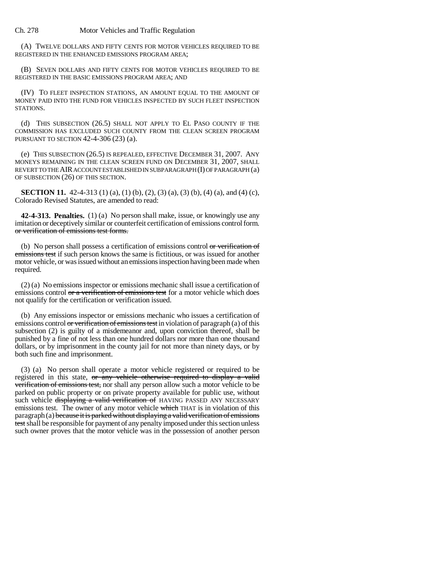Ch. 278 Motor Vehicles and Traffic Regulation

(A) TWELVE DOLLARS AND FIFTY CENTS FOR MOTOR VEHICLES REQUIRED TO BE REGISTERED IN THE ENHANCED EMISSIONS PROGRAM AREA;

(B) SEVEN DOLLARS AND FIFTY CENTS FOR MOTOR VEHICLES REQUIRED TO BE REGISTERED IN THE BASIC EMISSIONS PROGRAM AREA; AND

(IV) TO FLEET INSPECTION STATIONS, AN AMOUNT EQUAL TO THE AMOUNT OF MONEY PAID INTO THE FUND FOR VEHICLES INSPECTED BY SUCH FLEET INSPECTION STATIONS.

(d) THIS SUBSECTION (26.5) SHALL NOT APPLY TO EL PASO COUNTY IF THE COMMISSION HAS EXCLUDED SUCH COUNTY FROM THE CLEAN SCREEN PROGRAM PURSUANT TO SECTION 42-4-306 (23) (a).

(e) THIS SUBSECTION (26.5) IS REPEALED, EFFECTIVE DECEMBER 31, 2007. ANY MONEYS REMAINING IN THE CLEAN SCREEN FUND ON DECEMBER 31, 2007, SHALL REVERT TO THE AIR ACCOUNT ESTABLISHED IN SUBPARAGRAPH (I) OF PARAGRAPH (a) OF SUBSECTION (26) OF THIS SECTION.

**SECTION 11.** 42-4-313 (1) (a), (1) (b), (2), (3) (a), (3) (b), (4) (a), and (4) (c), Colorado Revised Statutes, are amended to read:

**42-4-313. Penalties.** (1) (a) No person shall make, issue, or knowingly use any imitation or deceptively similar or counterfeit certification of emissions control form. or verification of emissions test forms.

(b) No person shall possess a certification of emissions control or verification of emissions test if such person knows the same is fictitious, or was issued for another motor vehicle, or was issued without an emissions inspection having been made when required.

(2) (a) No emissions inspector or emissions mechanic shall issue a certification of emissions control or a verification of emissions test for a motor vehicle which does not qualify for the certification or verification issued.

(b) Any emissions inspector or emissions mechanic who issues a certification of emissions control or verification of emissions test in violation of paragraph (a) of this subsection (2) is guilty of a misdemeanor and, upon conviction thereof, shall be punished by a fine of not less than one hundred dollars nor more than one thousand dollars, or by imprisonment in the county jail for not more than ninety days, or by both such fine and imprisonment.

(3) (a) No person shall operate a motor vehicle registered or required to be registered in this state, or any vehicle otherwise required to display a valid verification of emissions test, nor shall any person allow such a motor vehicle to be parked on public property or on private property available for public use, without such vehicle displaying a valid verification of HAVING PASSED ANY NECESSARY emissions test. The owner of any motor vehicle which THAT is in violation of this paragraph (a) because it is parked without displaying a valid verification of emissions test shall be responsible for payment of any penalty imposed under this section unless such owner proves that the motor vehicle was in the possession of another person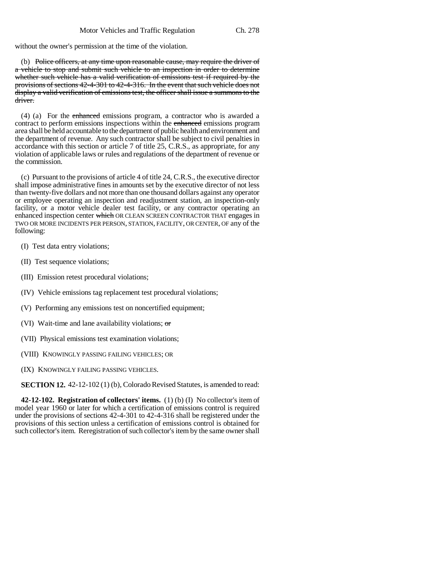without the owner's permission at the time of the violation.

(b) Police officers, at any time upon reasonable cause, may require the driver of a vehicle to stop and submit such vehicle to an inspection in order to determine whether such vehicle has a valid verification of emissions test if required by the provisions of sections 42-4-301 to 42-4-316. In the event that such vehicle does not display a valid verification of emissions test, the officer shall issue a summons to the driver.

(4) (a) For the enhanced emissions program, a contractor who is awarded a contract to perform emissions inspections within the enhanced emissions program area shall be held accountable to the department of public health and environment and the department of revenue. Any such contractor shall be subject to civil penalties in accordance with this section or article 7 of title 25, C.R.S., as appropriate, for any violation of applicable laws or rules and regulations of the department of revenue or the commission.

(c) Pursuant to the provisions of article 4 of title 24, C.R.S., the executive director shall impose administrative fines in amounts set by the executive director of not less than twenty-five dollars and not more than one thousand dollars against any operator or employee operating an inspection and readjustment station, an inspection-only facility, or a motor vehicle dealer test facility, or any contractor operating an enhanced inspection center which OR CLEAN SCREEN CONTRACTOR THAT engages in TWO OR MORE INCIDENTS PER PERSON, STATION, FACILITY, OR CENTER, OF any of the following:

- (I) Test data entry violations;
- (II) Test sequence violations;
- (III) Emission retest procedural violations;
- (IV) Vehicle emissions tag replacement test procedural violations;
- (V) Performing any emissions test on noncertified equipment;
- (VI) Wait-time and lane availability violations; or
- (VII) Physical emissions test examination violations;
- (VIII) KNOWINGLY PASSING FAILING VEHICLES; OR
- (IX) KNOWINGLY FAILING PASSING VEHICLES.

**SECTION 12.** 42-12-102 (1) (b), Colorado Revised Statutes, is amended to read:

**42-12-102. Registration of collectors' items.** (1) (b) (I) No collector's item of model year 1960 or later for which a certification of emissions control is required under the provisions of sections 42-4-301 to 42-4-316 shall be registered under the provisions of this section unless a certification of emissions control is obtained for such collector's item. Reregistration of such collector's item by the same owner shall